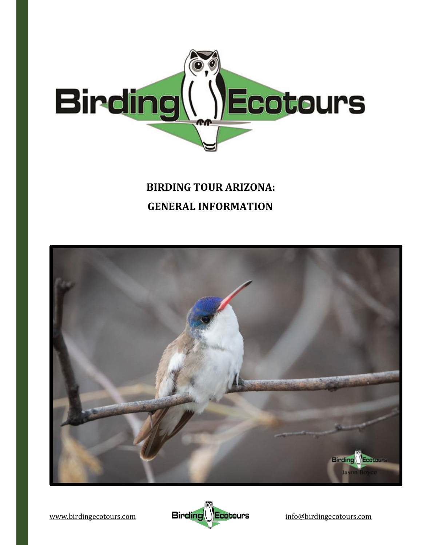

# **BIRDING TOUR ARIZONA: GENERAL INFORMATION**



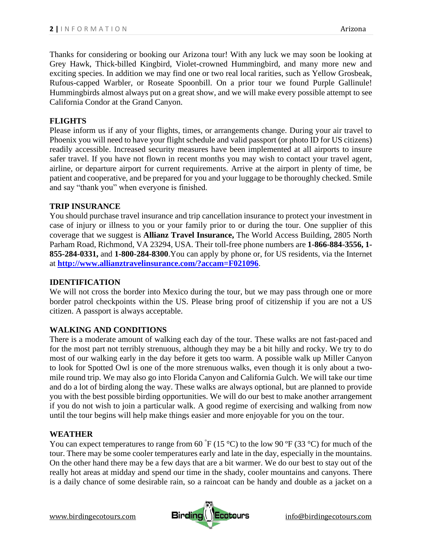Thanks for considering or booking our Arizona tour! With any luck we may soon be looking at Grey Hawk, Thick-billed Kingbird, Violet-crowned Hummingbird, and many more new and exciting species. In addition we may find one or two real local rarities, such as Yellow Grosbeak, Rufous-capped Warbler, or Roseate Spoonbill. On a prior tour we found Purple Gallinule! Hummingbirds almost always put on a great show, and we will make every possible attempt to see California Condor at the Grand Canyon.

## **FLIGHTS**

Please inform us if any of your flights, times, or arrangements change. During your air travel to Phoenix you will need to have your flight schedule and valid passport (or photo ID for US citizens) readily accessible. Increased security measures have been implemented at all airports to insure safer travel. If you have not flown in recent months you may wish to contact your travel agent, airline, or departure airport for current requirements. Arrive at the airport in plenty of time, be patient and cooperative, and be prepared for you and your luggage to be thoroughly checked. Smile and say "thank you" when everyone is finished.

## **TRIP INSURANCE**

You should purchase travel insurance and trip cancellation insurance to protect your investment in case of injury or illness to you or your family prior to or during the tour. One supplier of this coverage that we suggest is **Allianz Travel Insurance,** The World Access Building, 2805 North Parham Road, Richmond, VA 23294, USA. Their toll-free phone numbers are **1-866-884-3556, 1- 855-284-0331,** and **1-800-284-8300**.You can apply by phone or, for US residents, via the Internet at **<http://www.allianztravelinsurance.com/?accam=F021096>**.

#### **IDENTIFICATION**

We will not cross the border into Mexico during the tour, but we may pass through one or more border patrol checkpoints within the US. Please bring proof of citizenship if you are not a US citizen. A passport is always acceptable.

## **WALKING AND CONDITIONS**

There is a moderate amount of walking each day of the tour. These walks are not fast-paced and for the most part not terribly strenuous, although they may be a bit hilly and rocky. We try to do most of our walking early in the day before it gets too warm. A possible walk up Miller Canyon to look for Spotted Owl is one of the more strenuous walks, even though it is only about a twomile round trip. We may also go into Florida Canyon and California Gulch. We will take our time and do a lot of birding along the way. These walks are always optional, but are planned to provide you with the best possible birding opportunities. We will do our best to make another arrangement if you do not wish to join a particular walk. A good regime of exercising and walking from now until the tour begins will help make things easier and more enjoyable for you on the tour.

#### **WEATHER**

You can expect temperatures to range from 60  $\degree$ F (15  $\degree$ C) to the low 90  $\degree$ F (33  $\degree$ C) for much of the tour. There may be some cooler temperatures early and late in the day, especially in the mountains. On the other hand there may be a few days that are a bit warmer. We do our best to stay out of the really hot areas at midday and spend our time in the shady, cooler mountains and canyons. There is a daily chance of some desirable rain, so a raincoat can be handy and double as a jacket on a

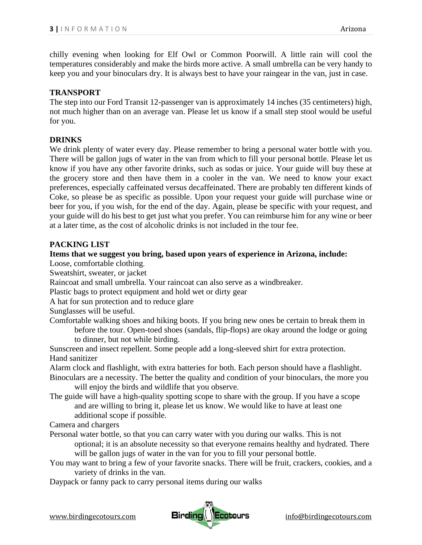chilly evening when looking for Elf Owl or Common Poorwill. A little rain will cool the temperatures considerably and make the birds more active. A small umbrella can be very handy to keep you and your binoculars dry. It is always best to have your raingear in the van, just in case.

## **TRANSPORT**

The step into our Ford Transit 12-passenger van is approximately 14 inches (35 centimeters) high, not much higher than on an average van. Please let us know if a small step stool would be useful for you.

## **DRINKS**

We drink plenty of water every day. Please remember to bring a personal water bottle with you. There will be gallon jugs of water in the van from which to fill your personal bottle. Please let us know if you have any other favorite drinks, such as sodas or juice. Your guide will buy these at the grocery store and then have them in a cooler in the van. We need to know your exact preferences, especially caffeinated versus decaffeinated. There are probably ten different kinds of Coke, so please be as specific as possible. Upon your request your guide will purchase wine or beer for you, if you wish, for the end of the day. Again, please be specific with your request, and your guide will do his best to get just what you prefer. You can reimburse him for any wine or beer at a later time, as the cost of alcoholic drinks is not included in the tour fee.

# **PACKING LIST**

# **Items that we suggest you bring, based upon years of experience in Arizona, include:**

Loose, comfortable clothing.

Sweatshirt, sweater, or jacket

Raincoat and small umbrella. Your raincoat can also serve as a windbreaker.

Plastic bags to protect equipment and hold wet or dirty gear

A hat for sun protection and to reduce glare

Sunglasses will be useful.

Comfortable walking shoes and hiking boots. If you bring new ones be certain to break them in before the tour. Open-toed shoes (sandals, flip-flops) are okay around the lodge or going to dinner, but not while birding.

Sunscreen and insect repellent. Some people add a long-sleeved shirt for extra protection. Hand sanitizer

Alarm clock and flashlight, with extra batteries for both. Each person should have a flashlight.

Binoculars are a necessity. The better the quality and condition of your binoculars, the more you will enjoy the birds and wildlife that you observe.

The guide will have a high-quality spotting scope to share with the group. If you have a scope and are willing to bring it, please let us know. We would like to have at least one additional scope if possible.

Camera and chargers

- Personal water bottle, so that you can carry water with you during our walks. This is not optional; it is an absolute necessity so that everyone remains healthy and hydrated. There will be gallon jugs of water in the van for you to fill your personal bottle.
- You may want to bring a few of your favorite snacks. There will be fruit, crackers, cookies, and a variety of drinks in the van.
- Daypack or fanny pack to carry personal items during our walks